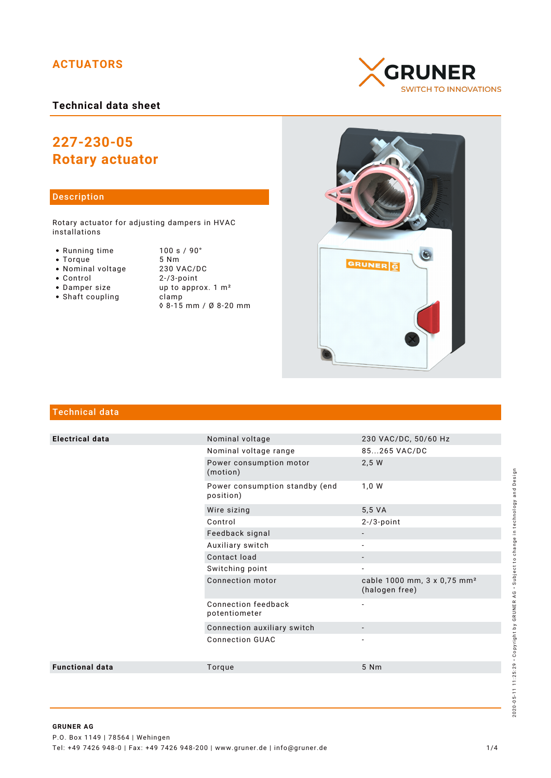## **ACTUATORS**

## **Technical data sheet**

# **227-230-05 Rotary actuator**

### Description

Rotary actuator for adjusting dampers in HVAC installations

- Running time 100 s / 90°<br>• Torque 5 Nm
- 
- Torque 5 Nm<br>• Nominal voltage 230 VAC/DC • Nominal voltage<br>• Control
- 
- 
- $\bullet$  Shaft coupling
- $2 / 3$ -point • Damper size up to approx. 1 m<sup>2</sup><br>• Shaft coupling clamp ◊ 8-15 mm / Ø 8-20 mm

**GRUNER SWITCH TO INNOVATIONS** 



## Technical data

| <b>Electrical data</b> | Nominal voltage                             | 230 VAC/DC, 50/60 Hz                                      |
|------------------------|---------------------------------------------|-----------------------------------------------------------|
|                        | Nominal voltage range                       | 85265 VAC/DC                                              |
|                        | Power consumption motor<br>(motion)         | 2,5 W                                                     |
|                        | Power consumption standby (end<br>position) | 1,0 W                                                     |
|                        | Wire sizing                                 | 5,5 VA                                                    |
|                        | Control                                     | $2-73$ -point                                             |
|                        | Feedback signal                             |                                                           |
|                        | Auxiliary switch                            |                                                           |
|                        | Contact load                                |                                                           |
|                        | Switching point                             |                                                           |
|                        | Connection motor                            | cable 1000 mm, 3 x 0,75 mm <sup>2</sup><br>(halogen free) |
|                        | Connection feedback<br>potentiometer        |                                                           |
|                        | Connection auxiliary switch                 |                                                           |
|                        | <b>Connection GUAC</b>                      | $\overline{\phantom{a}}$                                  |
| <b>Functional data</b> | Torque                                      | 5 Nm                                                      |
|                        |                                             |                                                           |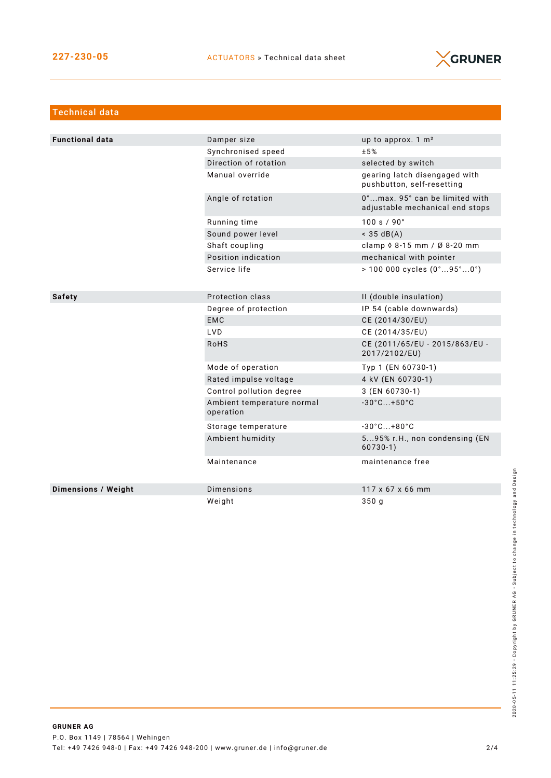

| <b>Technical data</b>  |                                         |                                                                   |
|------------------------|-----------------------------------------|-------------------------------------------------------------------|
|                        |                                         |                                                                   |
| <b>Functional data</b> | Damper size                             | up to approx. 1 m <sup>2</sup>                                    |
|                        | Synchronised speed                      | ±5%                                                               |
|                        | Direction of rotation                   | selected by switch                                                |
|                        | Manual override                         | gearing latch disengaged with<br>pushbutton, self-resetting       |
|                        | Angle of rotation                       | 0°max. 95° can be limited with<br>adjustable mechanical end stops |
|                        | Running time                            | 100 s / 90°                                                       |
|                        | Sound power level                       | $<$ 35 dB(A)                                                      |
|                        | Shaft coupling                          | clamp 0 8-15 mm / Ø 8-20 mm                                       |
|                        | Position indication                     | mechanical with pointer                                           |
|                        | Service life                            | $> 100000$ cycles $(0^{\circ}95^{\circ}0^{\circ})$                |
|                        |                                         |                                                                   |
| <b>Safety</b>          | Protection class                        | II (double insulation)                                            |
|                        | Degree of protection                    | IP 54 (cable downwards)                                           |
|                        | <b>EMC</b>                              | CE (2014/30/EU)                                                   |
|                        | LVD.                                    | CE (2014/35/EU)                                                   |
|                        | <b>RoHS</b>                             | CE (2011/65/EU - 2015/863/EU -<br>2017/2102/EU)                   |
|                        | Mode of operation                       | Typ 1 (EN 60730-1)                                                |
|                        | Rated impulse voltage                   | 4 kV (EN 60730-1)                                                 |
|                        | Control pollution degree                | 3 (EN 60730-1)                                                    |
|                        | Ambient temperature normal<br>operation | $-30^{\circ}$ C +50 $^{\circ}$ C                                  |
|                        | Storage temperature                     | $-30^{\circ}$ C +80 $^{\circ}$ C                                  |
|                        | Ambient humidity                        | 595% r.H., non condensing (EN<br>$60730-1)$                       |
|                        | Maintenance                             | maintenance free                                                  |
| Dimensions / Weight    | <b>Dimensions</b>                       | 117 x 67 x 66 mm                                                  |
|                        | Weight                                  | 350 <sub>q</sub>                                                  |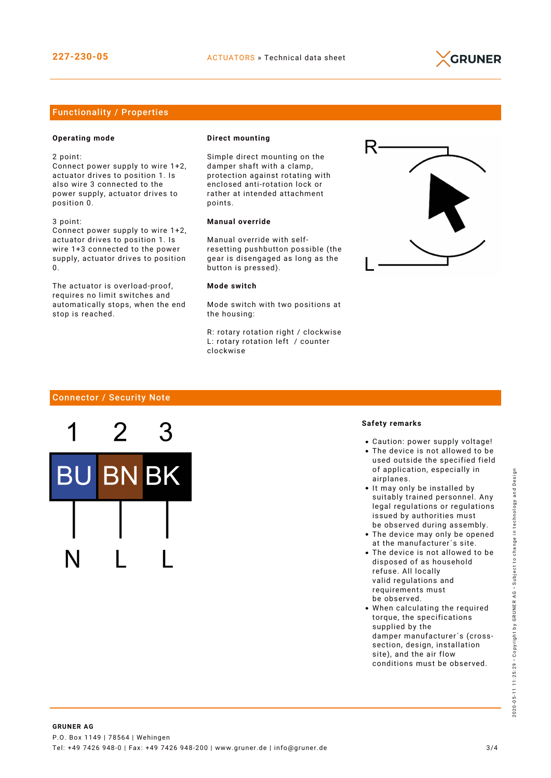

### Functionality / Properties

#### **Operating mode**

stop is reached.

2 point:

Connect power supply to wire 1+2, actuator drives to position 1. Is also wire 3 connected to the power supply, actuator drives to position 0.

3 point: Connect power supply to wire 1+2, actuator drives to position 1. Is wire 1+3 connected to the power supply, actuator drives to position

 $\Omega$ The actuator is overload-proof, requires no limit switches and automatically stops, when the end

#### **Direct mounting**

Simple direct mounting on the damper shaft with a clamp, protection against rotating with enclosed anti-rotation lock or rather at intended attachment points.

#### **Manual override**

Manual override with selfresetting pushbutton possible (the gear is disengaged as long as the button is pressed).

#### **Mode switch**

Mode switch with two positions at the housing:

R: rotary rotation right / clockwise L: rotary rotation left / counter clockwise



#### Connector / Security Note



#### **Safety remarks**

- Caution: power supply voltage!
- The device is not allowed to be used outside the specified field of application, especially in airplanes.
- It may only be installed by suitably trained personnel. Any legal regulations or regulations issued by authorities must be observed during assembly.
- The device may only be opened at the manufacturer´s site.
- The device is not allowed to be disposed of as household refuse. All locally valid regulations and requirements must be observed.
- When calculating the required torque, the specifications supplied by the damper manufacturer´s (crosssection, design, installation site), and the air flow conditions must be observed.

2020-05-11 11:25:29 • Copyright by GRUNER AG • Subject to change in technology and Design

2020-

05-1111:25:29 · Copyright by GRUNER AG · Subject to change in technology and Design